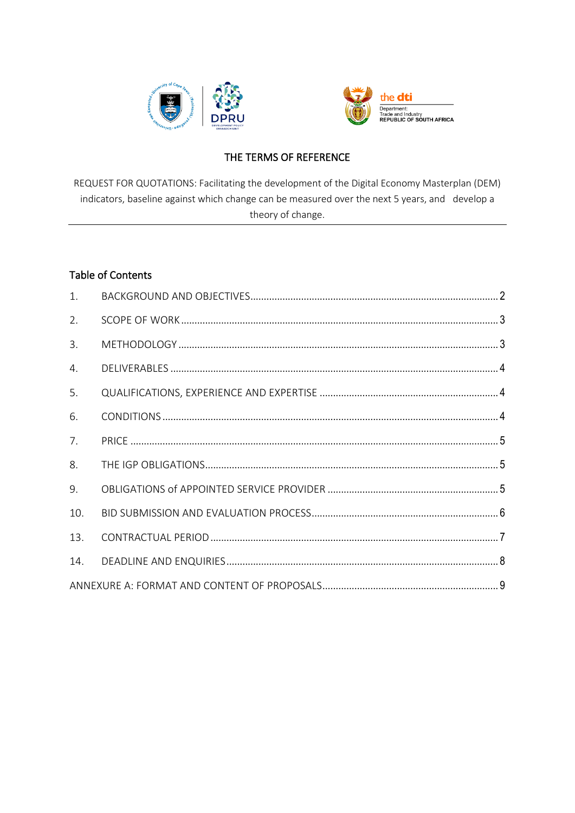



# THE TERMS OF REFERENCE

REQUEST FOR QUOTATIONS: Facilitating the development of the Digital Economy Masterplan (DEM) indicators, baseline against which change can be measured over the next 5 years, and develop a theory of change.

# **Table of Contents**

| 1.  |  |
|-----|--|
| 2.  |  |
| 3.  |  |
| 4.  |  |
| 5.  |  |
| 6.  |  |
| 7.  |  |
| 8.  |  |
| 9.  |  |
| 10. |  |
| 13. |  |
| 14. |  |
|     |  |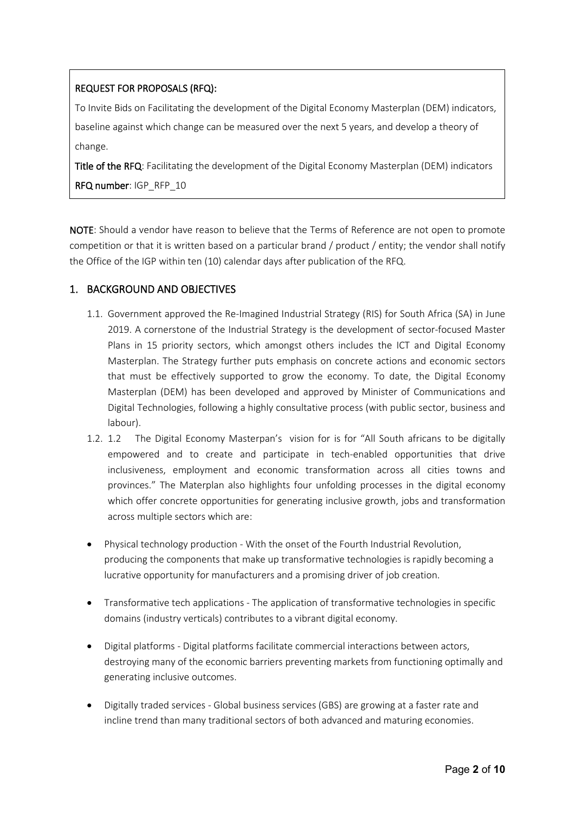## REQUEST FOR PROPOSALS (RFQ):

To Invite Bids on Facilitating the development of the Digital Economy Masterplan (DEM) indicators, baseline against which change can be measured over the next 5 years, and develop a theory of change.

Title of the RFQ: Facilitating the development of the Digital Economy Masterplan (DEM) indicators RFQ number: IGP\_RFP\_10

NOTE: Should a vendor have reason to believe that the Terms of Reference are not open to promote competition or that it is written based on a particular brand / product / entity; the vendor shall notify the Office of the IGP within ten (10) calendar days after publication of the RFQ.

## <span id="page-1-0"></span>1. BACKGROUND AND OBJECTIVES

- 1.1. Government approved the Re-Imagined Industrial Strategy (RIS) for South Africa (SA) in June 2019. A cornerstone of the Industrial Strategy is the development of sector-focused Master Plans in 15 priority sectors, which amongst others includes the ICT and Digital Economy Masterplan. The Strategy further puts emphasis on concrete actions and economic sectors that must be effectively supported to grow the economy. To date, the Digital Economy Masterplan (DEM) has been developed and approved by Minister of Communications and Digital Technologies, following a highly consultative process (with public sector, business and labour).
- 1.2. 1.2 The Digital Economy Masterpan's vision for is for "All South africans to be digitally empowered and to create and participate in tech-enabled opportunities that drive inclusiveness, employment and economic transformation across all cities towns and provinces." The Materplan also highlights four unfolding processes in the digital economy which offer concrete opportunities for generating inclusive growth, jobs and transformation across multiple sectors which are:
- Physical technology production With the onset of the Fourth Industrial Revolution, producing the components that make up transformative technologies is rapidly becoming a lucrative opportunity for manufacturers and a promising driver of job creation.
- Transformative tech applications The application of transformative technologies in specific domains (industry verticals) contributes to a vibrant digital economy.
- Digital platforms Digital platforms facilitate commercial interactions between actors, destroying many of the economic barriers preventing markets from functioning optimally and generating inclusive outcomes.
- Digitally traded services Global business services (GBS) are growing at a faster rate and incline trend than many traditional sectors of both advanced and maturing economies.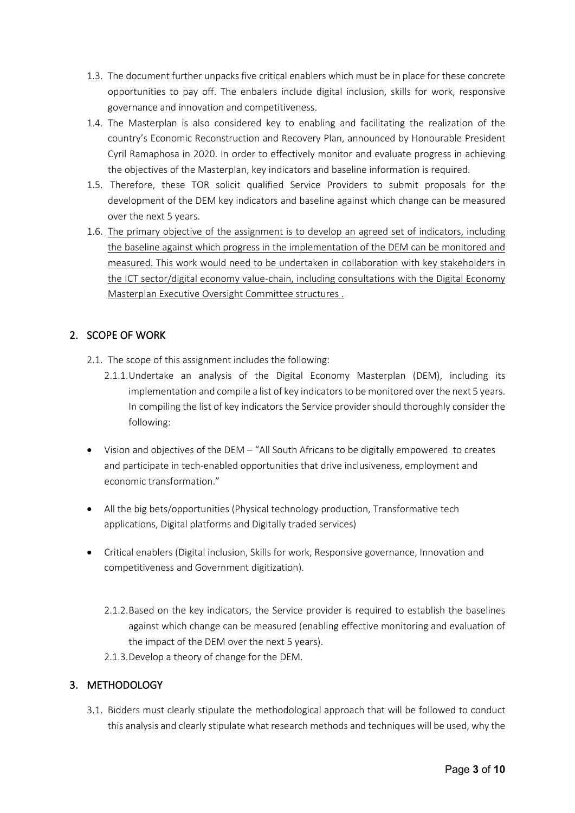- 1.3. The document further unpacks five critical enablers which must be in place for these concrete opportunities to pay off. The enbalers include digital inclusion, skills for work, responsive governance and innovation and competitiveness.
- 1.4. The Masterplan is also considered key to enabling and facilitating the realization of the country's Economic Reconstruction and Recovery Plan, announced by Honourable President Cyril Ramaphosa in 2020. In order to effectively monitor and evaluate progress in achieving the objectives of the Masterplan, key indicators and baseline information is required.
- 1.5. Therefore, these TOR solicit qualified Service Providers to submit proposals for the development of the DEM key indicators and baseline against which change can be measured over the next 5 years.
- 1.6. The primary objective of the assignment is to develop an agreed set of indicators, including the baseline against which progress in the implementation of the DEM can be monitored and measured. This work would need to be undertaken in collaboration with key stakeholders in the ICT sector/digital economy value-chain, including consultations with the Digital Economy Masterplan Executive Oversight Committee structures .

## <span id="page-2-0"></span>2. SCOPE OF WORK

- 2.1. The scope of this assignment includes the following:
	- 2.1.1.Undertake an analysis of the Digital Economy Masterplan (DEM), including its implementation and compile a list of key indicators to be monitored over the next 5 years. In compiling the list of key indicators the Service provider should thoroughly consider the following:
- Vision and objectives of the DEM "All South Africans to be digitally empowered to creates and participate in tech-enabled opportunities that drive inclusiveness, employment and economic transformation."
- All the big bets/opportunities (Physical technology production, Transformative tech applications, Digital platforms and Digitally traded services)
- Critical enablers (Digital inclusion, Skills for work, Responsive governance, Innovation and competitiveness and Government digitization).
	- 2.1.2.Based on the key indicators, the Service provider is required to establish the baselines against which change can be measured (enabling effective monitoring and evaluation of the impact of the DEM over the next 5 years).
	- 2.1.3.Develop a theory of change for the DEM.

## <span id="page-2-1"></span>3. METHODOLOGY

3.1. Bidders must clearly stipulate the methodological approach that will be followed to conduct this analysis and clearly stipulate what research methods and techniques will be used, why the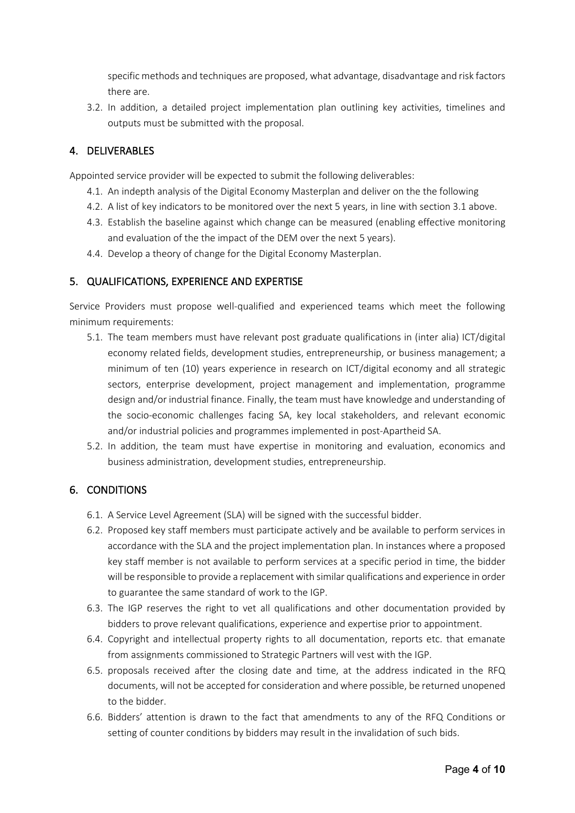specific methods and techniques are proposed, what advantage, disadvantage and risk factors there are.

3.2. In addition, a detailed project implementation plan outlining key activities, timelines and outputs must be submitted with the proposal.

## <span id="page-3-0"></span>4. DELIVERABLES

Appointed service provider will be expected to submit the following deliverables:

- 4.1. An indepth analysis of the Digital Economy Masterplan and deliver on the the following
- 4.2. A list of key indicators to be monitored over the next 5 years, in line with section 3.1 above.
- 4.3. Establish the baseline against which change can be measured (enabling effective monitoring and evaluation of the the impact of the DEM over the next 5 years).
- 4.4. Develop a theory of change for the Digital Economy Masterplan.

## <span id="page-3-1"></span>5. QUALIFICATIONS, EXPERIENCE AND EXPERTISE

Service Providers must propose well-qualified and experienced teams which meet the following minimum requirements:

- 5.1. The team members must have relevant post graduate qualifications in (inter alia) ICT/digital economy related fields, development studies, entrepreneurship, or business management; a minimum of ten (10) years experience in research on ICT/digital economy and all strategic sectors, enterprise development, project management and implementation, programme design and/or industrial finance. Finally, the team must have knowledge and understanding of the socio-economic challenges facing SA, key local stakeholders, and relevant economic and/or industrial policies and programmes implemented in post-Apartheid SA.
- 5.2. In addition, the team must have expertise in monitoring and evaluation, economics and business administration, development studies, entrepreneurship.

## <span id="page-3-2"></span>6. CONDITIONS

- 6.1. A Service Level Agreement (SLA) will be signed with the successful bidder.
- 6.2. Proposed key staff members must participate actively and be available to perform services in accordance with the SLA and the project implementation plan. In instances where a proposed key staff member is not available to perform services at a specific period in time, the bidder will be responsible to provide a replacement with similar qualifications and experience in order to guarantee the same standard of work to the IGP.
- 6.3. The IGP reserves the right to vet all qualifications and other documentation provided by bidders to prove relevant qualifications, experience and expertise prior to appointment.
- 6.4. Copyright and intellectual property rights to all documentation, reports etc. that emanate from assignments commissioned to Strategic Partners will vest with the IGP.
- 6.5. proposals received after the closing date and time, at the address indicated in the RFQ documents, will not be accepted for consideration and where possible, be returned unopened to the bidder.
- 6.6. Bidders' attention is drawn to the fact that amendments to any of the RFQ Conditions or setting of counter conditions by bidders may result in the invalidation of such bids.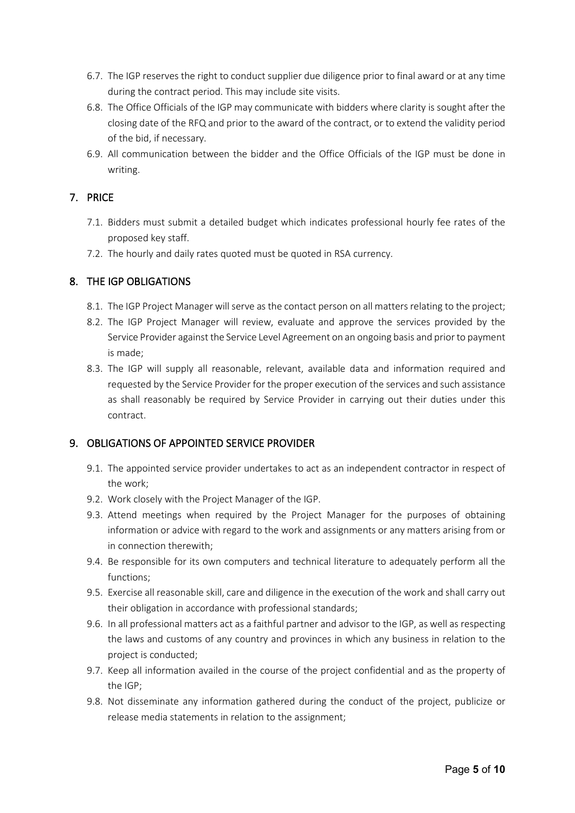- 6.7. The IGP reserves the right to conduct supplier due diligence prior to final award or at any time during the contract period. This may include site visits.
- 6.8. The Office Officials of the IGP may communicate with bidders where clarity is sought after the closing date of the RFQ and prior to the award of the contract, or to extend the validity period of the bid, if necessary.
- 6.9. All communication between the bidder and the Office Officials of the IGP must be done in writing.

## <span id="page-4-0"></span>7. PRICE

- 7.1. Bidders must submit a detailed budget which indicates professional hourly fee rates of the proposed key staff.
- 7.2. The hourly and daily rates quoted must be quoted in RSA currency.

## <span id="page-4-1"></span>8. THE IGP OBLIGATIONS

- 8.1. The IGP Project Manager will serve as the contact person on all matters relating to the project;
- 8.2. The IGP Project Manager will review, evaluate and approve the services provided by the Service Provider against the Service Level Agreement on an ongoing basis and prior to payment is made;
- 8.3. The IGP will supply all reasonable, relevant, available data and information required and requested by the Service Provider for the proper execution of the services and such assistance as shall reasonably be required by Service Provider in carrying out their duties under this contract.

### <span id="page-4-2"></span>9. OBLIGATIONS OF APPOINTED SERVICE PROVIDER

- 9.1. The appointed service provider undertakes to act as an independent contractor in respect of the work;
- 9.2. Work closely with the Project Manager of the IGP.
- 9.3. Attend meetings when required by the Project Manager for the purposes of obtaining information or advice with regard to the work and assignments or any matters arising from or in connection therewith;
- 9.4. Be responsible for its own computers and technical literature to adequately perform all the functions;
- 9.5. Exercise all reasonable skill, care and diligence in the execution of the work and shall carry out their obligation in accordance with professional standards;
- 9.6. In all professional matters act as a faithful partner and advisor to the IGP, as well as respecting the laws and customs of any country and provinces in which any business in relation to the project is conducted;
- 9.7. Keep all information availed in the course of the project confidential and as the property of the IGP;
- 9.8. Not disseminate any information gathered during the conduct of the project, publicize or release media statements in relation to the assignment;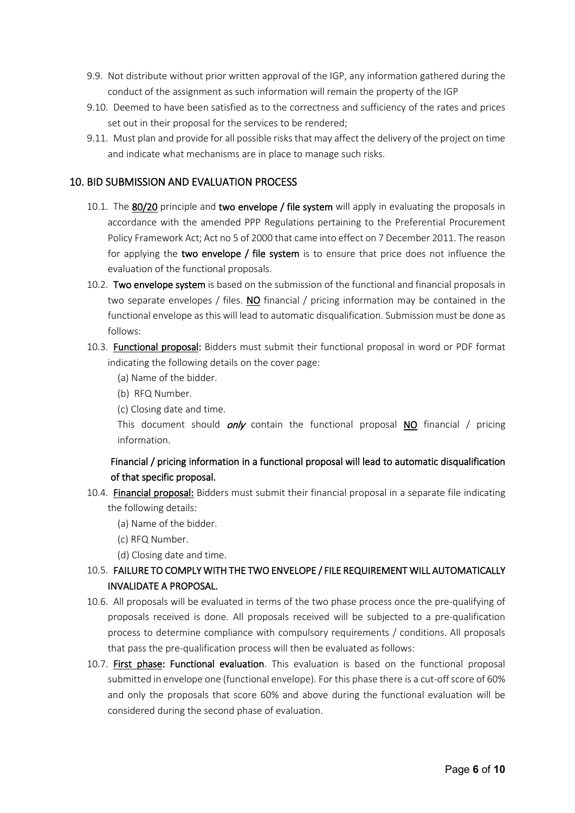- 9.9. Not distribute without prior written approval of the IGP, any information gathered during the conduct of the assignment as such information will remain the property of the IGP
- 9.10. Deemed to have been satisfied as to the correctness and sufficiency of the rates and prices set out in their proposal for the services to be rendered;
- 9.11. Must plan and provide for all possible risks that may affect the delivery of the project on time and indicate what mechanisms are in place to manage such risks.

### <span id="page-5-0"></span>10. BID SUBMISSION AND EVALUATION PROCESS

- 10.1. The 80/20 principle and two envelope / file system will apply in evaluating the proposals in accordance with the amended PPP Regulations pertaining to the Preferential Procurement Policy Framework Act; Act no 5 of 2000 that came into effect on 7 December 2011. The reason for applying the two envelope  $/$  file system is to ensure that price does not influence the evaluation of the functional proposals.
- 10.2. Two envelope system is based on the submission of the functional and financial proposals in two separate envelopes / files. NO financial / pricing information may be contained in the functional envelope as this will lead to automatic disqualification. Submission must be done as follows:
- 10.3. Functional proposal: Bidders must submit their functional proposal in word or PDF format indicating the following details on the cover page:
	- (a) Name of the bidder.
	- (b) RFQ Number.
	- (c) Closing date and time.

This document should  $\omega n / y$  contain the functional proposal NO financial / pricing information.

## Financial / pricing information in a functional proposal will lead to automatic disqualification of that specific proposal.

- 10.4. Financial proposal: Bidders must submit their financial proposal in a separate file indicating the following details:
	- (a) Name of the bidder.
	- (c) RFQ Number.
	- (d) Closing date and time.

## 10.5. FAILURE TO COMPLY WITH THE TWO ENVELOPE / FILE REQUIREMENT WILL AUTOMATICALLY INVALIDATE A PROPOSAL.

- 10.6. All proposals will be evaluated in terms of the two phase process once the pre-qualifying of proposals received is done. All proposals received will be subjected to a pre-qualification process to determine compliance with compulsory requirements / conditions. All proposals that pass the pre-qualification process will then be evaluated as follows:
- 10.7. First phase: Functional evaluation. This evaluation is based on the functional proposal submitted in envelope one (functional envelope). For this phase there is a cut-off score of 60% and only the proposals that score 60% and above during the functional evaluation will be considered during the second phase of evaluation.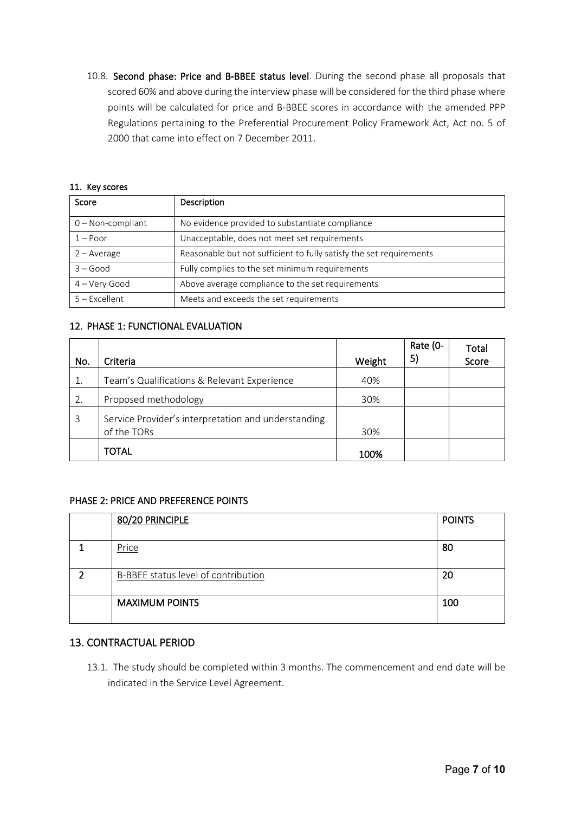10.8. Second phase: Price and B-BBEE status level. During the second phase all proposals that scored 60% and above during the interview phase will be considered for the third phase where points will be calculated for price and B-BBEE scores in accordance with the amended PPP Regulations pertaining to the Preferential Procurement Policy Framework Act, Act no. 5 of 2000 that came into effect on 7 December 2011.

|  | 11. Key scores |
|--|----------------|
|--|----------------|

| Score               | Description                                                         |
|---------------------|---------------------------------------------------------------------|
| $0$ – Non-compliant | No evidence provided to substantiate compliance                     |
| $1 -$ Poor          | Unacceptable, does not meet set requirements                        |
| $2 - A$ verage      | Reasonable but not sufficient to fully satisfy the set requirements |
| $3 - Good$          | Fully complies to the set minimum requirements                      |
| 4 - Very Good       | Above average compliance to the set requirements                    |
| $5 -$ Excellent     | Meets and exceeds the set requirements                              |

#### 12. PHASE 1: FUNCTIONAL EVALUATION

| No. | Criteria                                                           | Weight | Rate (0-<br>5) | Total<br>Score |
|-----|--------------------------------------------------------------------|--------|----------------|----------------|
| 1.  | Team's Qualifications & Relevant Experience                        | 40%    |                |                |
| 2.  | Proposed methodology                                               | 30%    |                |                |
| 3   | Service Provider's interpretation and understanding<br>of the TORs | 30%    |                |                |
|     | <b>TOTAL</b>                                                       | 100%   |                |                |

#### PHASE 2: PRICE AND PREFERENCE POINTS

| 80/20 PRINCIPLE                     | <b>POINTS</b> |
|-------------------------------------|---------------|
|                                     |               |
| Price                               | 80            |
|                                     |               |
| B-BBEE status level of contribution | 20            |
|                                     |               |
| <b>MAXIMUM POINTS</b>               | 100           |
|                                     |               |

## <span id="page-6-0"></span>13. CONTRACTUAL PERIOD

13.1. The study should be completed within 3 months. The commencement and end date will be indicated in the Service Level Agreement.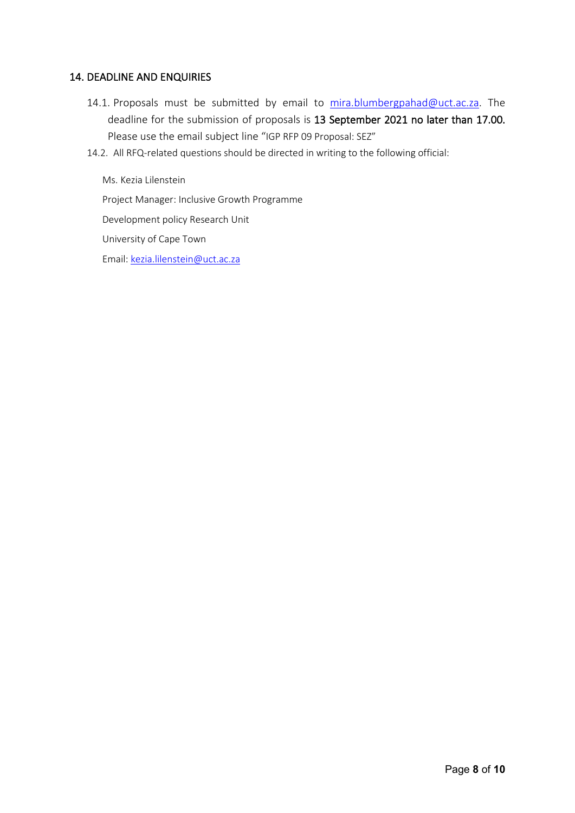## <span id="page-7-0"></span>14. DEADLINE AND ENQUIRIES

- 14.1. Proposals must be submitted by email to [mira.blumbergpahad@uct.ac.za.](mailto:mira.blumbergpahad@uct.ac.za) The deadline for the submission of proposals is 13 September 2021 no later than 17.00. Please use the email subject line "IGP RFP 09 Proposal: SEZ"
- 14.2. All RFQ-related questions should be directed in writing to the following official:

Ms. Kezia Lilenstein Project Manager: Inclusive Growth Programme Development policy Research Unit University of Cape Town Email: [kezia.lilenstein@uct.ac.za](mailto:kezia.lilenstein@uct.ac.za)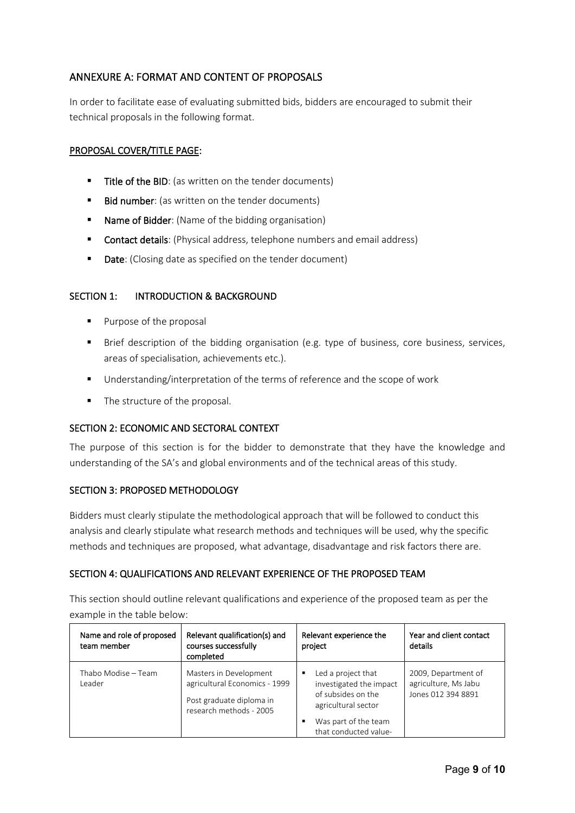## <span id="page-8-0"></span>ANNEXURE A: FORMAT AND CONTENT OF PROPOSALS

In order to facilitate ease of evaluating submitted bids, bidders are encouraged to submit their technical proposals in the following format.

### PROPOSAL COVER/TITLE PAGE:

- Title of the BID: (as written on the tender documents)
- Bid number: (as written on the tender documents)
- **Name of Bidder:** (Name of the bidding organisation)
- **Contact details**: (Physical address, telephone numbers and email address)
- Date: (Closing date as specified on the tender document)

#### SECTION 1: INTRODUCTION & BACKGROUND

- Purpose of the proposal
- Brief description of the bidding organisation (e.g. type of business, core business, services, areas of specialisation, achievements etc.).
- **Understanding/interpretation of the terms of reference and the scope of work**
- The structure of the proposal.

### SECTION 2: ECONOMIC AND SECTORAL CONTEXT

The purpose of this section is for the bidder to demonstrate that they have the knowledge and understanding of the SA's and global environments and of the technical areas of this study.

#### SECTION 3: PROPOSED METHODOLOGY

Bidders must clearly stipulate the methodological approach that will be followed to conduct this analysis and clearly stipulate what research methods and techniques will be used, why the specific methods and techniques are proposed, what advantage, disadvantage and risk factors there are.

### SECTION 4: QUALIFICATIONS AND RELEVANT EXPERIENCE OF THE PROPOSED TEAM

This section should outline relevant qualifications and experience of the proposed team as per the example in the table below:

| Name and role of proposed<br>team member | Relevant qualification(s) and<br>courses successfully<br>completed                                             | Relevant experience the<br>project                                                                                                               | Year and client contact<br>details                                |
|------------------------------------------|----------------------------------------------------------------------------------------------------------------|--------------------------------------------------------------------------------------------------------------------------------------------------|-------------------------------------------------------------------|
| Thabo Modise - Team<br>Leader            | Masters in Development<br>agricultural Economics - 1999<br>Post graduate diploma in<br>research methods - 2005 | Led a project that<br>٠<br>investigated the impact<br>of subsides on the<br>agricultural sector<br>Was part of the team<br>that conducted value- | 2009, Department of<br>agriculture, Ms Jabu<br>Jones 012 394 8891 |